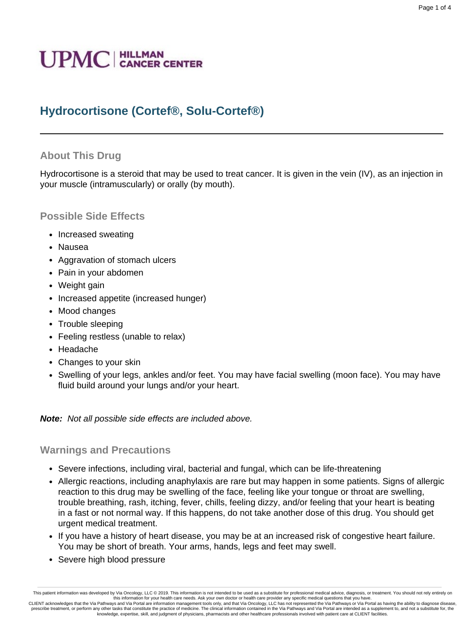# **UPMC** | HILLMAN

# **Hydrocortisone (Cortef®, Solu-Cortef®)**

### **About This Drug**

Hydrocortisone is a steroid that may be used to treat cancer. It is given in the vein (IV), as an injection in your muscle (intramuscularly) or orally (by mouth).

#### **Possible Side Effects**

- Increased sweating
- Nausea
- Aggravation of stomach ulcers
- Pain in your abdomen
- Weight gain
- Increased appetite (increased hunger)
- Mood changes
- Trouble sleeping
- Feeling restless (unable to relax)
- Headache
- Changes to your skin
- Swelling of your legs, ankles and/or feet. You may have facial swelling (moon face). You may have fluid build around your lungs and/or your heart.

#### **Note:** Not all possible side effects are included above.

#### **Warnings and Precautions**

- Severe infections, including viral, bacterial and fungal, which can be life-threatening
- Allergic reactions, including anaphylaxis are rare but may happen in some patients. Signs of allergic reaction to this drug may be swelling of the face, feeling like your tongue or throat are swelling, trouble breathing, rash, itching, fever, chills, feeling dizzy, and/or feeling that your heart is beating in a fast or not normal way. If this happens, do not take another dose of this drug. You should get urgent medical treatment.
- If you have a history of heart disease, you may be at an increased risk of congestive heart failure. You may be short of breath. Your arms, hands, legs and feet may swell.
- Severe high blood pressure

This patient information was developed by Via Oncology, LLC © 2019. This information is not intended to be used as a substitute for professional medical advice, diagnosis, or treatment. You should not rely entirely or this information for your health care needs. Ask your own doctor or health care provider any specific medical questions that you have.<br>CLIENT acknowledges that the Via Pathways and Via Portal are information management too

prescribe treatment, or perform any other tasks that constitute the practice of medicine. The clinical information contained in the Via Pathways and Via Portal are intended as a supplement to, and not a substitute for, the knowledge, expertise, skill, and judgment of physicians, pharmacists and other healthcare professionals involved with patient care at CLIENT facilities.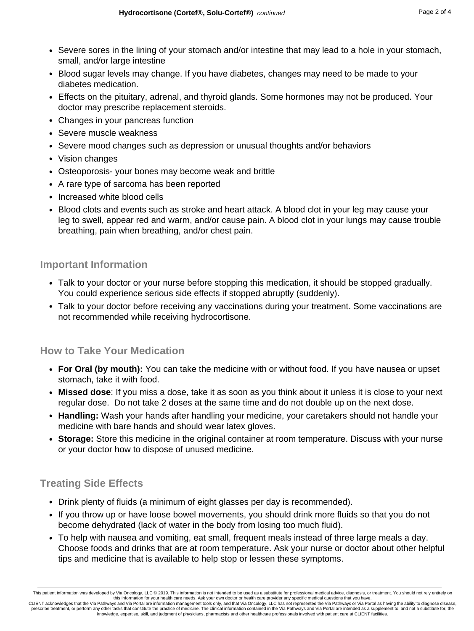- Severe sores in the lining of your stomach and/or intestine that may lead to a hole in your stomach, small, and/or large intestine
- Blood sugar levels may change. If you have diabetes, changes may need to be made to your diabetes medication.
- Effects on the pituitary, adrenal, and thyroid glands. Some hormones may not be produced. Your doctor may prescribe replacement steroids.
- Changes in your pancreas function
- Severe muscle weakness
- Severe mood changes such as depression or unusual thoughts and/or behaviors
- Vision changes
- Osteoporosis- your bones may become weak and brittle
- A rare type of sarcoma has been reported
- Increased white blood cells
- Blood clots and events such as stroke and heart attack. A blood clot in your leg may cause your leg to swell, appear red and warm, and/or cause pain. A blood clot in your lungs may cause trouble breathing, pain when breathing, and/or chest pain.

## **Important Information**

- Talk to your doctor or your nurse before stopping this medication, it should be stopped gradually. You could experience serious side effects if stopped abruptly (suddenly).
- Talk to your doctor before receiving any vaccinations during your treatment. Some vaccinations are not recommended while receiving hydrocortisone.

## **How to Take Your Medication**

- **For Oral (by mouth):** You can take the medicine with or without food. If you have nausea or upset stomach, take it with food.
- **Missed dose**: If you miss a dose, take it as soon as you think about it unless it is close to your next regular dose. Do not take 2 doses at the same time and do not double up on the next dose.
- **Handling:** Wash your hands after handling your medicine, your caretakers should not handle your medicine with bare hands and should wear latex gloves.
- **Storage:** Store this medicine in the original container at room temperature. Discuss with your nurse or your doctor how to dispose of unused medicine.

## **Treating Side Effects**

- Drink plenty of fluids (a minimum of eight glasses per day is recommended).
- If you throw up or have loose bowel movements, you should drink more fluids so that you do not become dehydrated (lack of water in the body from losing too much fluid).
- To help with nausea and vomiting, eat small, frequent meals instead of three large meals a day. Choose foods and drinks that are at room temperature. Ask your nurse or doctor about other helpful tips and medicine that is available to help stop or lessen these symptoms.

This patient information was developed by Via Oncology, LLC © 2019. This information is not intended to be used as a substitute for professional medical advice, diagnosis, or treatment. You should not rely entirely on this information for your health care needs. Ask your own doctor or health care provider any specific medical questions that you have.<br>CLIENT acknowledges that the Via Pathways and Via Portal are information management too

prescribe treatment, or perform any other tasks that constitute the practice of medicine. The clinical information contained in the Via Pathways and Via Portal are intended as a supplement to, and not a substitute for, the knowledge, expertise, skill, and judgment of physicians, pharmacists and other healthcare professionals involved with patient care at CLIENT facilities.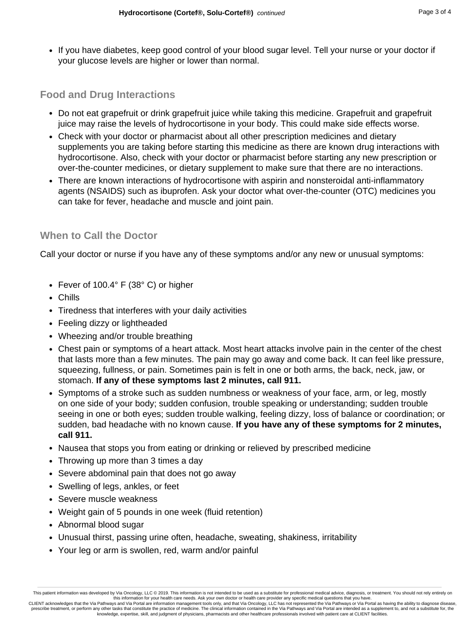• If you have diabetes, keep good control of your blood sugar level. Tell your nurse or your doctor if your glucose levels are higher or lower than normal.

## **Food and Drug Interactions**

- Do not eat grapefruit or drink grapefruit juice while taking this medicine. Grapefruit and grapefruit juice may raise the levels of hydrocortisone in your body. This could make side effects worse.
- Check with your doctor or pharmacist about all other prescription medicines and dietary supplements you are taking before starting this medicine as there are known drug interactions with hydrocortisone. Also, check with your doctor or pharmacist before starting any new prescription or over-the-counter medicines, or dietary supplement to make sure that there are no interactions.
- There are known interactions of hydrocortisone with aspirin and nonsteroidal anti-inflammatory agents (NSAIDS) such as ibuprofen. Ask your doctor what over-the-counter (OTC) medicines you can take for fever, headache and muscle and joint pain.

## **When to Call the Doctor**

Call your doctor or nurse if you have any of these symptoms and/or any new or unusual symptoms:

- Fever of 100.4° F (38° C) or higher
- Chills
- Tiredness that interferes with your daily activities
- Feeling dizzy or lightheaded
- Wheezing and/or trouble breathing
- Chest pain or symptoms of a heart attack. Most heart attacks involve pain in the center of the chest that lasts more than a few minutes. The pain may go away and come back. It can feel like pressure, squeezing, fullness, or pain. Sometimes pain is felt in one or both arms, the back, neck, jaw, or stomach. **If any of these symptoms last 2 minutes, call 911.**
- Symptoms of a stroke such as sudden numbness or weakness of your face, arm, or leg, mostly on one side of your body; sudden confusion, trouble speaking or understanding; sudden trouble seeing in one or both eyes; sudden trouble walking, feeling dizzy, loss of balance or coordination; or sudden, bad headache with no known cause. **If you have any of these symptoms for 2 minutes, call 911.**
- Nausea that stops you from eating or drinking or relieved by prescribed medicine
- Throwing up more than 3 times a day
- Severe abdominal pain that does not go away
- Swelling of legs, ankles, or feet
- Severe muscle weakness
- Weight gain of 5 pounds in one week (fluid retention)
- Abnormal blood sugar
- Unusual thirst, passing urine often, headache, sweating, shakiness, irritability
- Your leg or arm is swollen, red, warm and/or painful

This patient information was developed by Via Oncology, LLC © 2019. This information is not intended to be used as a substitute for professional medical advice, diagnosis, or treatment. You should not rely entirely or this information for your health care needs. Ask your own doctor or health care provider any specific medical questions that you have.

CLIENT acknowledges that the Via Pathways and Via Portal are information management tools only, and that Via Oncology, LLC has not represented the Via Pathways or Via Portal as having the ability to diagnose dise prescribe treatment, or perform any other tasks that constitute the practice of medicine. The clinical information contained in the Via Pathways and Via Portal are intended as a supplement to, and not a substitute for, the knowledge, expertise, skill, and judgment of physicians, pharmacists and other healthcare professionals involved with patient care at CLIENT facilities.